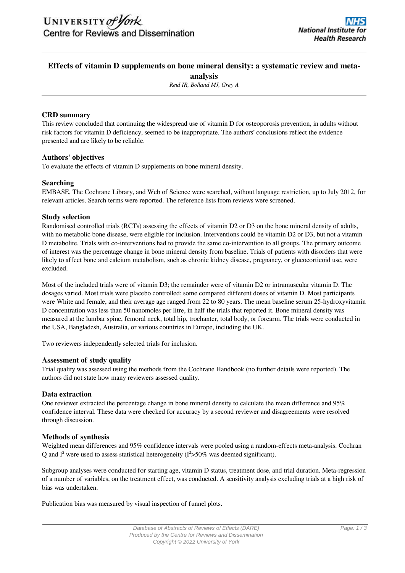# **Effects of vitamin D supplements on bone mineral density: a systematic review and metaanalysis**

*Reid IR, Bolland MJ, Grey A*

## **CRD summary**

This review concluded that continuing the widespread use of vitamin D for osteoporosis prevention, in adults without risk factors for vitamin D deficiency, seemed to be inappropriate. The authors' conclusions reflect the evidence presented and are likely to be reliable.

## **Authors' objectives**

To evaluate the effects of vitamin D supplements on bone mineral density.

## **Searching**

EMBASE, The Cochrane Library, and Web of Science were searched, without language restriction, up to July 2012, for relevant articles. Search terms were reported. The reference lists from reviews were screened.

### **Study selection**

Randomised controlled trials (RCTs) assessing the effects of vitamin D2 or D3 on the bone mineral density of adults, with no metabolic bone disease, were eligible for inclusion. Interventions could be vitamin D2 or D3, but not a vitamin D metabolite. Trials with co-interventions had to provide the same co-intervention to all groups. The primary outcome of interest was the percentage change in bone mineral density from baseline. Trials of patients with disorders that were likely to affect bone and calcium metabolism, such as chronic kidney disease, pregnancy, or glucocorticoid use, were excluded.

Most of the included trials were of vitamin D3; the remainder were of vitamin D2 or intramuscular vitamin D. The dosages varied. Most trials were placebo controlled; some compared different doses of vitamin D. Most participants were White and female, and their average age ranged from 22 to 80 years. The mean baseline serum 25-hydroxyvitamin D concentration was less than 50 nanomoles per litre, in half the trials that reported it. Bone mineral density was measured at the lumbar spine, femoral neck, total hip, trochanter, total body, or forearm. The trials were conducted in the USA, Bangladesh, Australia, or various countries in Europe, including the UK.

Two reviewers independently selected trials for inclusion.

## **Assessment of study quality**

Trial quality was assessed using the methods from the Cochrane Handbook (no further details were reported). The authors did not state how many reviewers assessed quality.

## **Data extraction**

One reviewer extracted the percentage change in bone mineral density to calculate the mean difference and 95% confidence interval. These data were checked for accuracy by a second reviewer and disagreements were resolved through discussion.

## **Methods of synthesis**

Weighted mean differences and 95% confidence intervals were pooled using a random-effects meta-analysis. Cochran Q and I<sup>2</sup> were used to assess statistical heterogeneity  $(I^2>50\%$  was deemed significant).

Subgroup analyses were conducted for starting age, vitamin D status, treatment dose, and trial duration. Meta-regression of a number of variables, on the treatment effect, was conducted. A sensitivity analysis excluding trials at a high risk of bias was undertaken.

Publication bias was measured by visual inspection of funnel plots.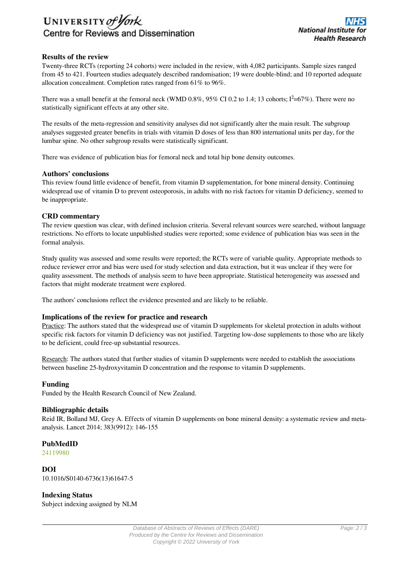

## **Results of the review**

Twenty-three RCTs (reporting 24 cohorts) were included in the review, with 4,082 participants. Sample sizes ranged from 45 to 421. Fourteen studies adequately described randomisation; 19 were double-blind; and 10 reported adequate allocation concealment. Completion rates ranged from 61% to 96%.

There was a small benefit at the femoral neck (WMD  $0.8\%$ ,  $95\%$  CI  $0.2$  to 1.4; 13 cohorts;  $I^2=67\%$ ). There were no statistically significant effects at any other site.

The results of the meta-regression and sensitivity analyses did not significantly alter the main result. The subgroup analyses suggested greater benefits in trials with vitamin D doses of less than 800 international units per day, for the lumbar spine. No other subgroup results were statistically significant.

There was evidence of publication bias for femoral neck and total hip bone density outcomes.

### **Authors' conclusions**

This review found little evidence of benefit, from vitamin D supplementation, for bone mineral density. Continuing widespread use of vitamin D to prevent osteoporosis, in adults with no risk factors for vitamin D deficiency, seemed to be inappropriate.

#### **CRD commentary**

The review question was clear, with defined inclusion criteria. Several relevant sources were searched, without language restrictions. No efforts to locate unpublished studies were reported; some evidence of publication bias was seen in the formal analysis.

Study quality was assessed and some results were reported; the RCTs were of variable quality. Appropriate methods to reduce reviewer error and bias were used for study selection and data extraction, but it was unclear if they were for quality assessment. The methods of analysis seem to have been appropriate. Statistical heterogeneity was assessed and factors that might moderate treatment were explored.

The authors' conclusions reflect the evidence presented and are likely to be reliable.

### **Implications of the review for practice and research**

Practice: The authors stated that the widespread use of vitamin D supplements for skeletal protection in adults without specific risk factors for vitamin D deficiency was not justified. Targeting low-dose supplements to those who are likely to be deficient, could free-up substantial resources.

Research: The authors stated that further studies of vitamin D supplements were needed to establish the associations between baseline 25-hydroxyvitamin D concentration and the response to vitamin D supplements.

#### **Funding**

Funded by the Health Research Council of New Zealand.

### **Bibliographic details**

Reid IR, Bolland MJ, Grey A. Effects of vitamin D supplements on bone mineral density: a systematic review and metaanalysis. Lancet 2014; 383(9912): 146-155

### **PubMedID**

[24119980](http://www.ncbi.nlm.nih.gov/pubmed?term=24119980)

**DOI** 10.1016/S0140-6736(13)61647-5

**Indexing Status** Subject indexing assigned by NLM